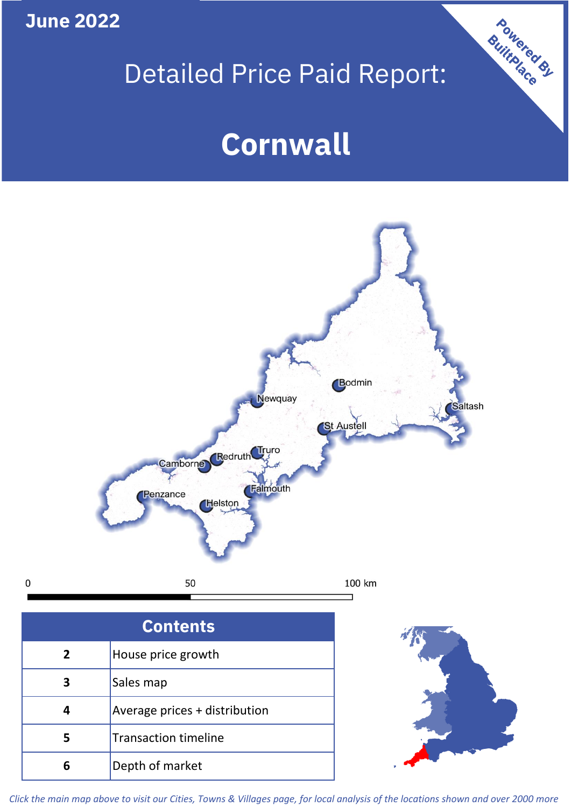**June 2022**

# Detailed Price Paid Report:

Powered By

# **Cornwall**



*Click the main map above to visit our Cities, Towns & Villages page, for local analysis of the locations shown and over 2000 more*

**6** Depth of market

 $\mathbf 0$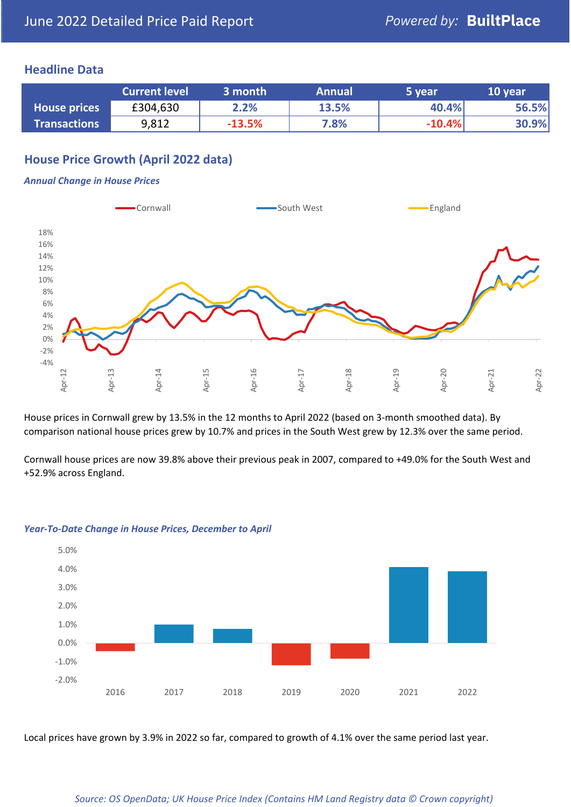### **Headline Data**

|                     | <b>Current level</b> | 3 month  | <b>Annual</b> | 5 year   | 10 year |
|---------------------|----------------------|----------|---------------|----------|---------|
| <b>House prices</b> | £304,630             | 2.2%     | 13.5%         | 40.4%    | 56.5%   |
| <b>Transactions</b> | 9,812                | $-13.5%$ | 7.8%          | $-10.4%$ | 30.9%   |

# **House Price Growth (April 2022 data)**

#### *Annual Change in House Prices*

![](_page_1_Figure_6.jpeg)

House prices in Cornwall grew by 13.5% in the 12 months to April 2022 (based on 3-month smoothed data). By comparison national house prices grew by 10.7% and prices in the South West grew by 12.3% over the same period.

Cornwall house prices are now 39.8% above their previous peak in 2007, compared to +49.0% for the South West and +52.9% across England.

![](_page_1_Figure_9.jpeg)

#### *Year-To-Date Change in House Prices, December to April*

Local prices have grown by 3.9% in 2022 so far, compared to growth of 4.1% over the same period last year.

#### *Source: OS OpenData; UK House Price Index (Contains HM Land Registry data © Crown copyright)*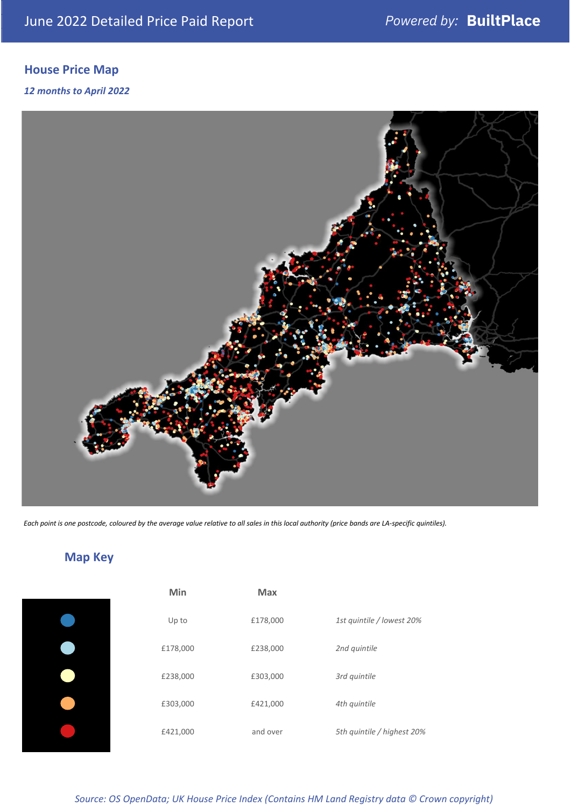# **House Price Map**

*12 months to April 2022*

![](_page_2_Picture_4.jpeg)

*Each point is one postcode, coloured by the average value relative to all sales in this local authority (price bands are LA-specific quintiles).*

# **Map Key**

| Min      | <b>Max</b> |                            |
|----------|------------|----------------------------|
| Up to    | £178,000   | 1st quintile / lowest 20%  |
| £178,000 | £238,000   | 2nd quintile               |
| £238,000 | £303,000   | 3rd quintile               |
| £303,000 | £421,000   | 4th quintile               |
| £421,000 | and over   | 5th quintile / highest 20% |

*Source: OS OpenData; UK House Price Index (Contains HM Land Registry data © Crown copyright)*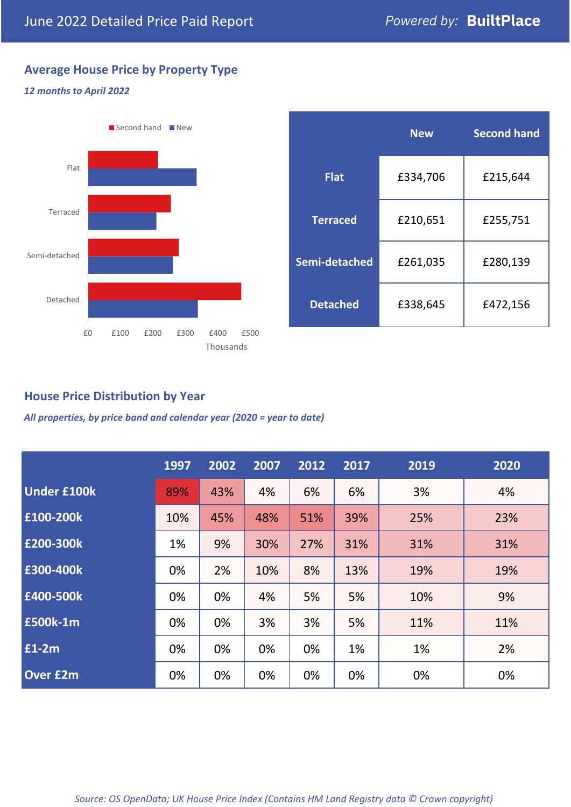# **Average House Price by Property Type**

### *12 months to April 2022*

![](_page_3_Figure_4.jpeg)

|                 | <b>New</b> | <b>Second hand</b> |  |  |
|-----------------|------------|--------------------|--|--|
| <b>Flat</b>     | £334,706   | £215,644           |  |  |
| <b>Terraced</b> | £210,651   | £255,751           |  |  |
| Semi-detached   | £261,035   | £280,139           |  |  |
| <b>Detached</b> | £338,645   | £472,156           |  |  |

# **House Price Distribution by Year**

*All properties, by price band and calendar year (2020 = year to date)*

|                    | 1997 | 2002 | 2007 | 2012 | 2017 | 2019 | 2020 |
|--------------------|------|------|------|------|------|------|------|
| <b>Under £100k</b> | 89%  | 43%  | 4%   | 6%   | 6%   | 3%   | 4%   |
| £100-200k          | 10%  | 45%  | 48%  | 51%  | 39%  | 25%  | 23%  |
| E200-300k          | 1%   | 9%   | 30%  | 27%  | 31%  | 31%  | 31%  |
| £300-400k          | 0%   | 2%   | 10%  | 8%   | 13%  | 19%  | 19%  |
| £400-500k          | 0%   | 0%   | 4%   | 5%   | 5%   | 10%  | 9%   |
| <b>£500k-1m</b>    | 0%   | 0%   | 3%   | 3%   | 5%   | 11%  | 11%  |
| £1-2m              | 0%   | 0%   | 0%   | 0%   | 1%   | 1%   | 2%   |
| <b>Over £2m</b>    | 0%   | 0%   | 0%   | 0%   | 0%   | 0%   | 0%   |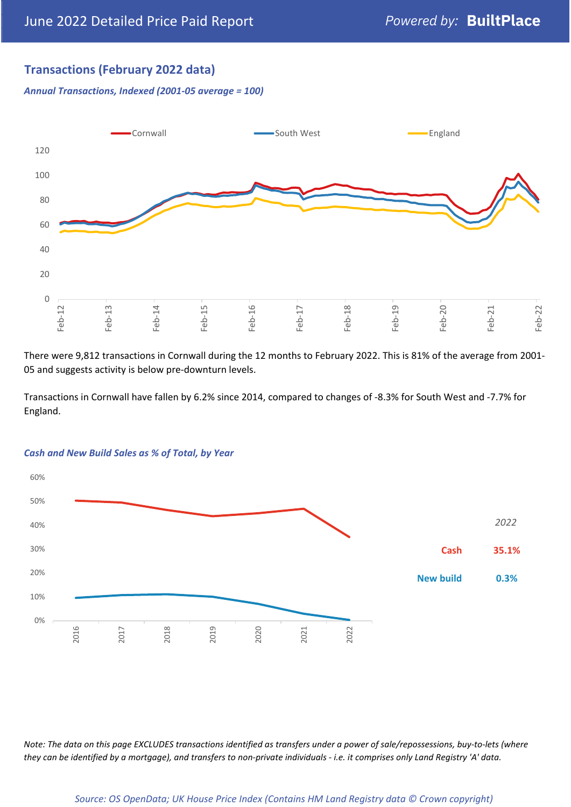# **Transactions (February 2022 data)**

*Annual Transactions, Indexed (2001-05 average = 100)*

![](_page_4_Figure_4.jpeg)

There were 9,812 transactions in Cornwall during the 12 months to February 2022. This is 81% of the average from 2001- 05 and suggests activity is below pre-downturn levels.

Transactions in Cornwall have fallen by 6.2% since 2014, compared to changes of -8.3% for South West and -7.7% for England.

![](_page_4_Figure_7.jpeg)

#### *Cash and New Build Sales as % of Total, by Year*

*Note: The data on this page EXCLUDES transactions identified as transfers under a power of sale/repossessions, buy-to-lets (where they can be identified by a mortgage), and transfers to non-private individuals - i.e. it comprises only Land Registry 'A' data.*